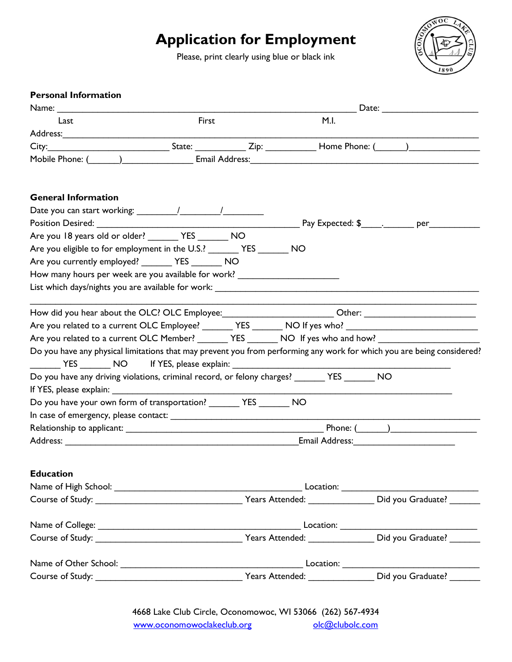## Application for Employment

Please, print clearly using blue or black ink



| <b>Personal Information</b>                                                                                                                                                                                                                                                                        |                                                                                                               |  |      |                                                                                                                                                                                                                                |  |
|----------------------------------------------------------------------------------------------------------------------------------------------------------------------------------------------------------------------------------------------------------------------------------------------------|---------------------------------------------------------------------------------------------------------------|--|------|--------------------------------------------------------------------------------------------------------------------------------------------------------------------------------------------------------------------------------|--|
|                                                                                                                                                                                                                                                                                                    |                                                                                                               |  |      | Date: the contract of the contract of the contract of the contract of the contract of the contract of the contract of the contract of the contract of the contract of the contract of the contract of the contract of the cont |  |
| Last                                                                                                                                                                                                                                                                                               | First                                                                                                         |  | M.I. |                                                                                                                                                                                                                                |  |
|                                                                                                                                                                                                                                                                                                    |                                                                                                               |  |      |                                                                                                                                                                                                                                |  |
| City: City: City: State: City: City: City: City: City: City: City: City: City: City: City: City: City: City: City: City: City: City: City: City: City: City: City: City: City: City: City: City: City: City: City: City: City:                                                                     |                                                                                                               |  |      |                                                                                                                                                                                                                                |  |
| Mobile Phone: ( ) The Real Address: Email Address: The Real Address: The Real Address: The Real Address: The Real Address: The Real Address: The Real Address: The Real Address: The Real Address: The Real Address: The Real                                                                      |                                                                                                               |  |      |                                                                                                                                                                                                                                |  |
| <b>General Information</b>                                                                                                                                                                                                                                                                         |                                                                                                               |  |      |                                                                                                                                                                                                                                |  |
|                                                                                                                                                                                                                                                                                                    |                                                                                                               |  |      |                                                                                                                                                                                                                                |  |
| Position Desired: <u>New York: New York: New York: New York: New York: New York: New York: New York: New York: New York: New York: New York: New York: New York: New York: New York: New York: New York: New York: New York: New</u>                                                               |                                                                                                               |  |      |                                                                                                                                                                                                                                |  |
| Are you 18 years old or older? __________ YES _________ NO                                                                                                                                                                                                                                         |                                                                                                               |  |      |                                                                                                                                                                                                                                |  |
| Are you eligible to for employment in the U.S.? ________ YES ________ NO                                                                                                                                                                                                                           |                                                                                                               |  |      |                                                                                                                                                                                                                                |  |
| Are you currently employed? _________ YES ________ NO                                                                                                                                                                                                                                              |                                                                                                               |  |      |                                                                                                                                                                                                                                |  |
| How many hours per week are you available for work? ____________________________                                                                                                                                                                                                                   |                                                                                                               |  |      |                                                                                                                                                                                                                                |  |
| List which days/nights you are available for work: List which has been also as a set of the set of the set of the set of the set of the set of the set of the set of the set of the set of the set of the set of the set of th                                                                     |                                                                                                               |  |      |                                                                                                                                                                                                                                |  |
|                                                                                                                                                                                                                                                                                                    |                                                                                                               |  |      |                                                                                                                                                                                                                                |  |
|                                                                                                                                                                                                                                                                                                    |                                                                                                               |  |      |                                                                                                                                                                                                                                |  |
|                                                                                                                                                                                                                                                                                                    |                                                                                                               |  |      |                                                                                                                                                                                                                                |  |
|                                                                                                                                                                                                                                                                                                    |                                                                                                               |  |      |                                                                                                                                                                                                                                |  |
|                                                                                                                                                                                                                                                                                                    |                                                                                                               |  |      |                                                                                                                                                                                                                                |  |
| Are you related to a current OLC Employee? ________ YES _______ NO If yes who? _______________________________<br>Are you related to a current OLC Member? ________ YES _______ NO If yes who and how? _______________                                                                             |                                                                                                               |  |      |                                                                                                                                                                                                                                |  |
|                                                                                                                                                                                                                                                                                                    |                                                                                                               |  |      |                                                                                                                                                                                                                                |  |
| <b>EXAMPLE STATES</b>                                                                                                                                                                                                                                                                              | If YES, please explain: 1999 and 1999 and 1999 and 1999 and 1999 and 1999 and 1999 and 1999 and 1999 and 1999 |  |      |                                                                                                                                                                                                                                |  |
|                                                                                                                                                                                                                                                                                                    |                                                                                                               |  |      |                                                                                                                                                                                                                                |  |
|                                                                                                                                                                                                                                                                                                    |                                                                                                               |  |      |                                                                                                                                                                                                                                |  |
|                                                                                                                                                                                                                                                                                                    |                                                                                                               |  |      |                                                                                                                                                                                                                                |  |
|                                                                                                                                                                                                                                                                                                    |                                                                                                               |  |      |                                                                                                                                                                                                                                |  |
| Do you have any physical limitations that may prevent you from performing any work for which you are being considered?<br>Do you have any driving violations, criminal record, or felony charges? _______ YES _______ NO<br>Do you have your own form of transportation? _________ YES ________ NO |                                                                                                               |  |      |                                                                                                                                                                                                                                |  |
|                                                                                                                                                                                                                                                                                                    |                                                                                                               |  |      |                                                                                                                                                                                                                                |  |
|                                                                                                                                                                                                                                                                                                    |                                                                                                               |  |      |                                                                                                                                                                                                                                |  |
|                                                                                                                                                                                                                                                                                                    |                                                                                                               |  |      |                                                                                                                                                                                                                                |  |
|                                                                                                                                                                                                                                                                                                    |                                                                                                               |  |      |                                                                                                                                                                                                                                |  |
|                                                                                                                                                                                                                                                                                                    |                                                                                                               |  |      |                                                                                                                                                                                                                                |  |
|                                                                                                                                                                                                                                                                                                    |                                                                                                               |  |      |                                                                                                                                                                                                                                |  |
|                                                                                                                                                                                                                                                                                                    |                                                                                                               |  |      |                                                                                                                                                                                                                                |  |
|                                                                                                                                                                                                                                                                                                    |                                                                                                               |  |      |                                                                                                                                                                                                                                |  |
|                                                                                                                                                                                                                                                                                                    |                                                                                                               |  |      |                                                                                                                                                                                                                                |  |
| <b>Education</b>                                                                                                                                                                                                                                                                                   |                                                                                                               |  |      |                                                                                                                                                                                                                                |  |